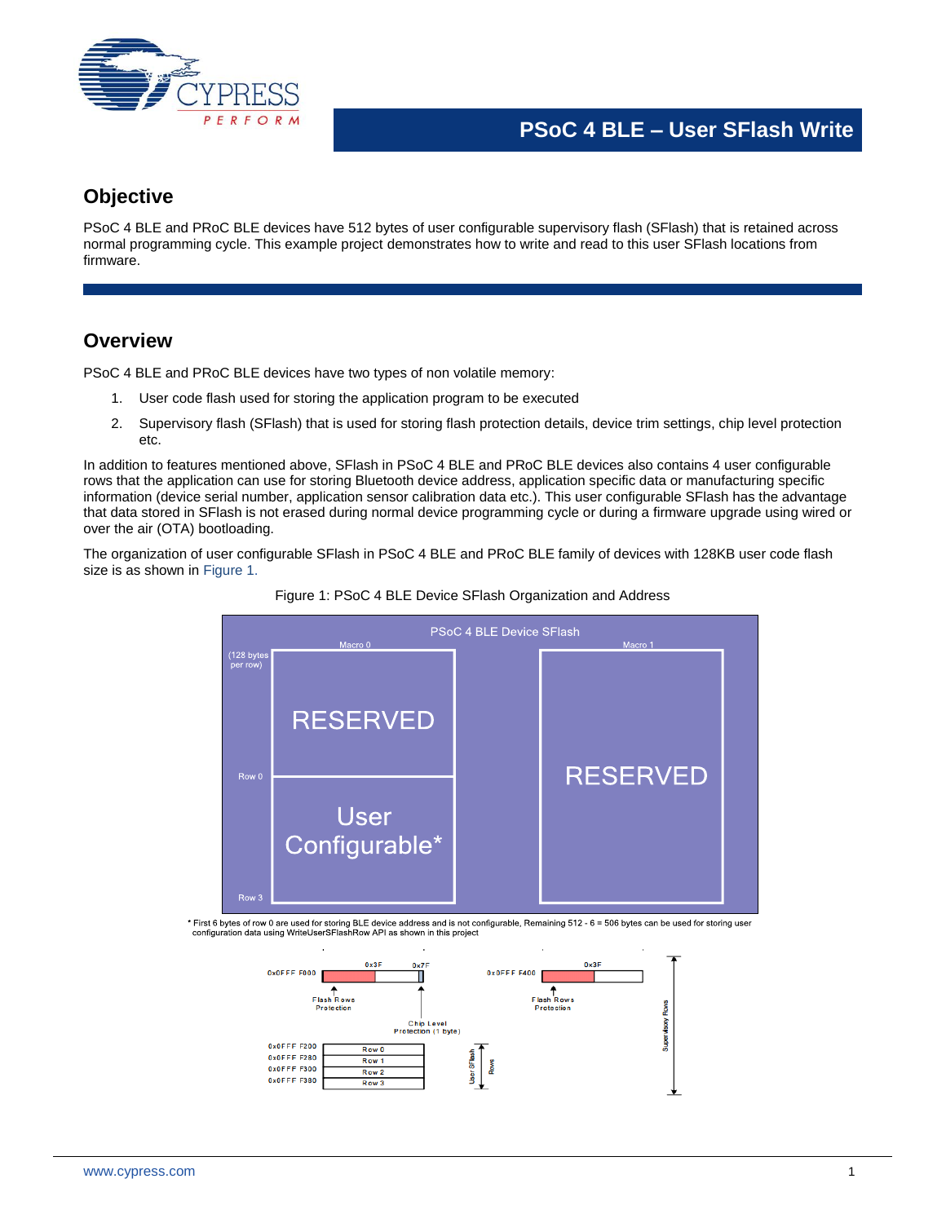

# **Objective**

PSoC 4 BLE and PRoC BLE devices have 512 bytes of user configurable supervisory flash (SFlash) that is retained across normal programming cycle. This example project demonstrates how to write and read to this user SFlash locations from firmware.

# **Overview**

PSoC 4 BLE and PRoC BLE devices have two types of non volatile memory:

- 1. User code flash used for storing the application program to be executed
- 2. Supervisory flash (SFlash) that is used for storing flash protection details, device trim settings, chip level protection etc.

In addition to features mentioned above, SFlash in PSoC 4 BLE and PRoC BLE devices also contains 4 user configurable rows that the application can use for storing Bluetooth device address, application specific data or manufacturing specific information (device serial number, application sensor calibration data etc.). This user configurable SFlash has the advantage that data stored in SFlash is not erased during normal device programming cycle or during a firmware upgrade using wired or over the air (OTA) bootloading.

<span id="page-0-0"></span>The organization of user configurable SFlash in PSoC 4 BLE and PRoC BLE family of devices with 128KB user code flash size is as shown i[n Figure 1.](#page-0-0)





\* First 6 bytes of row 0 are used for storing BLE device address and is not configurable, Remaining 512 - 6 = 506 bytes can be used for storing user<br>configuration data using WriteUserSFlashRow API as shown in this project

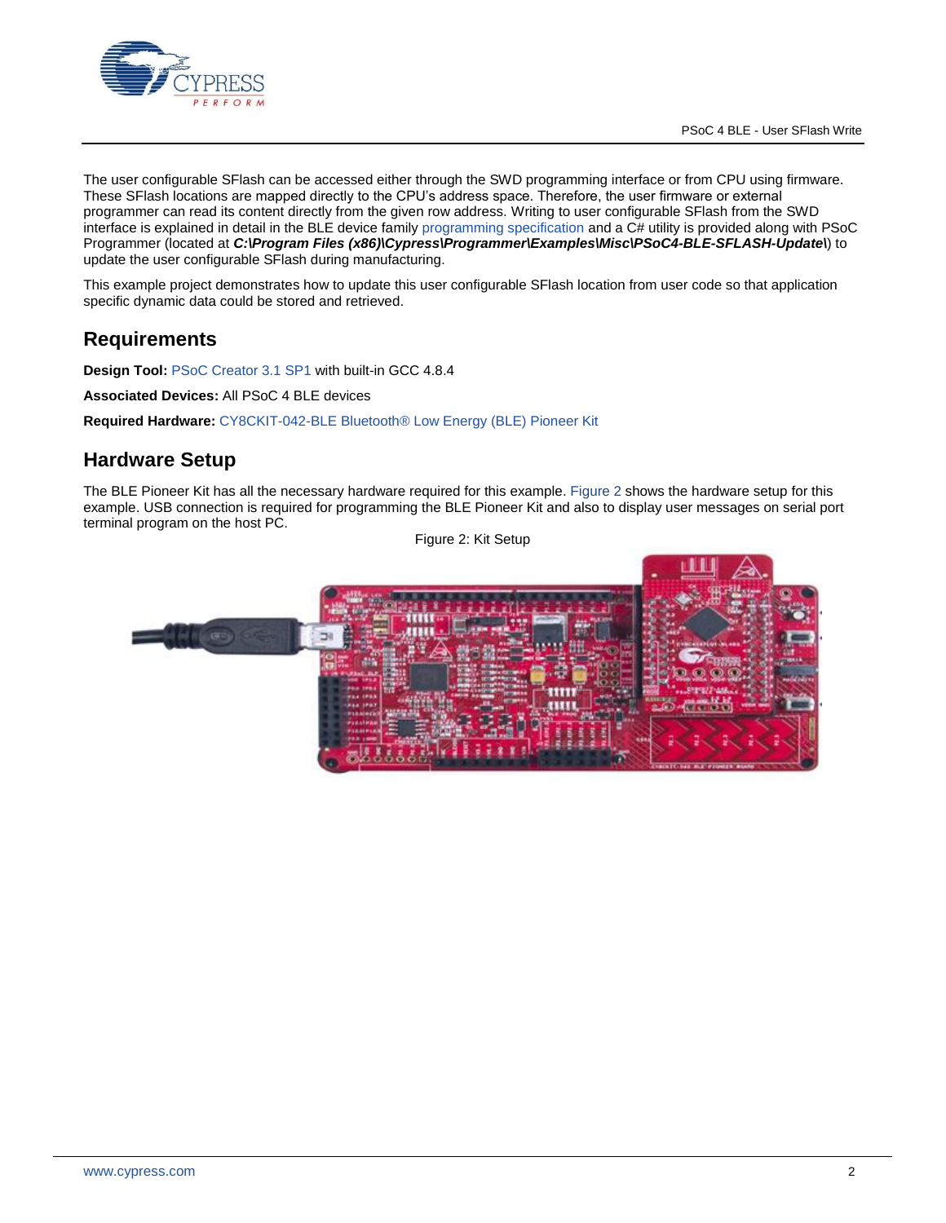

The user configurable SFlash can be accessed either through the SWD programming interface or from CPU using firmware. These SFlash locations are mapped directly to the CPU's address space. Therefore, the user firmware or external programmer can read its content directly from the given row address. Writing to user configurable SFlash from the SWD interface is explained in detail in the BLE device family [programming specification](http://www.cypress.com/?docID=51803) and a C# utility is provided along with PSoC Programmer (located at *C:\Program Files (x86)\Cypress\Programmer\Examples\Misc\PSoC4-BLE-SFLASH-Update\*) to update the user configurable SFlash during manufacturing.

This example project demonstrates how to update this user configurable SFlash location from user code so that application specific dynamic data could be stored and retrieved.

# **Requirements**

**Design Tool:** [PSoC Creator 3.1](http://www.cypress.com/PSoCCreator/) SP1 with built-in GCC 4.8.4

**Associated Devices:** All PSoC 4 BLE devices

**Required Hardware:** CY8CKIT-042-BLE Bluetooth® [Low Energy \(BLE\) Pioneer Kit](http://www.cypress.com/cy8ckit-042-ble/)

#### **Hardware Setup**

<span id="page-1-0"></span>The BLE Pioneer Kit has all the necessary hardware required for this example. [Figure 2](#page-1-0) shows the hardware setup for this example. USB connection is required for programming the BLE Pioneer Kit and also to display user messages on serial port terminal program on the host PC.

Figure 2: Kit Setup

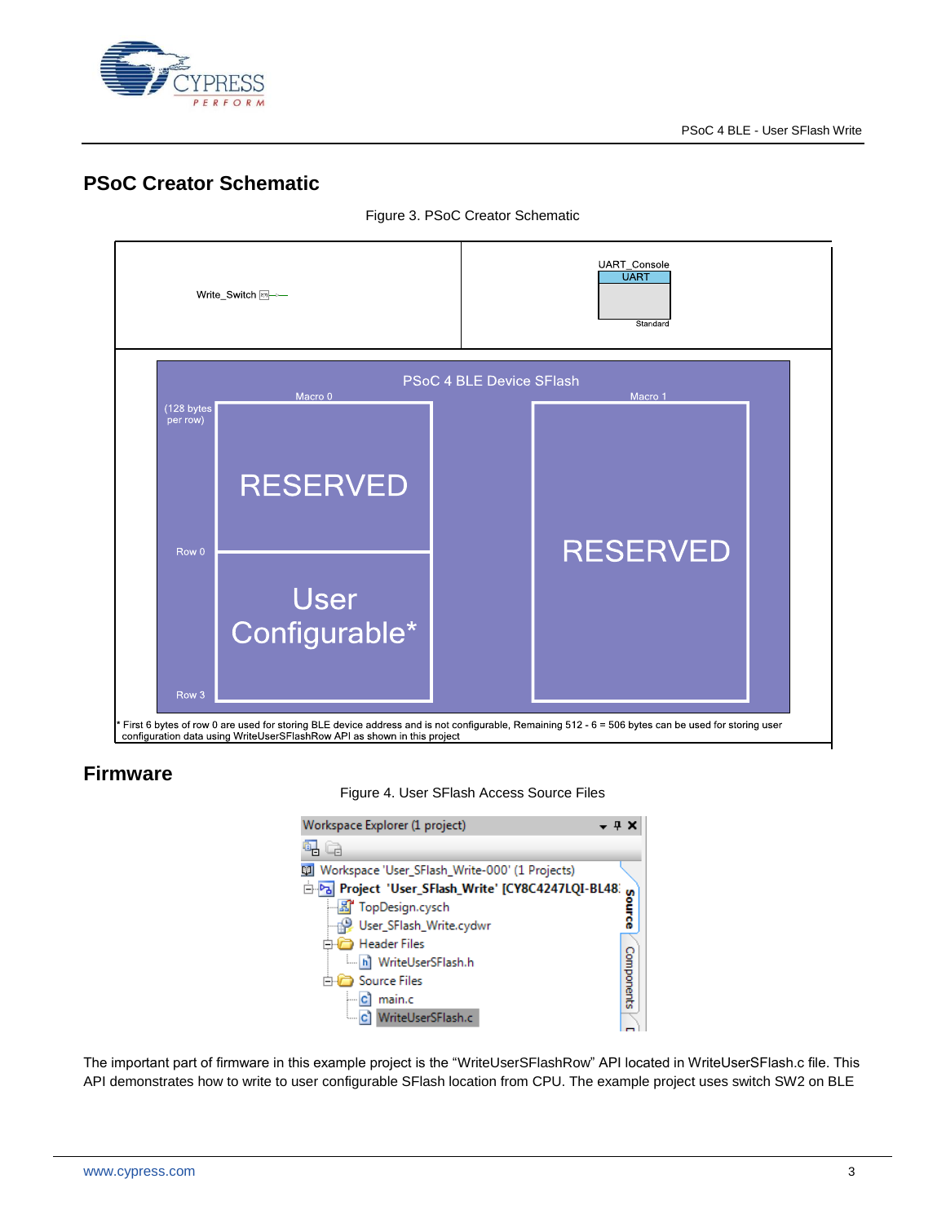

## **PSoC Creator Schematic**



Figure 3. PSoC Creator Schematic

### **Firmware**



| Workspace Explorer (1 project)<br>– 4 X        |            |  |  |
|------------------------------------------------|------------|--|--|
|                                                |            |  |  |
| Workspace 'User_SFlash_Write-000' (1 Projects) |            |  |  |
| Project 'User_SFlash_Write' [CY8C4247LQI-BL48. |            |  |  |
| -- K TopDesign.cysch                           |            |  |  |
| User_SFlash_Write.cydwr                        |            |  |  |
| Header Files                                   |            |  |  |
| i hi WriteUserSFlash.h                         |            |  |  |
| <b>Source Files</b>                            |            |  |  |
| main.c                                         | Components |  |  |
| C WriteUserSFlash.c                            |            |  |  |

The important part of firmware in this example project is the "WriteUserSFlashRow" API located in WriteUserSFlash.c file. This API demonstrates how to write to user configurable SFlash location from CPU. The example project uses switch SW2 on BLE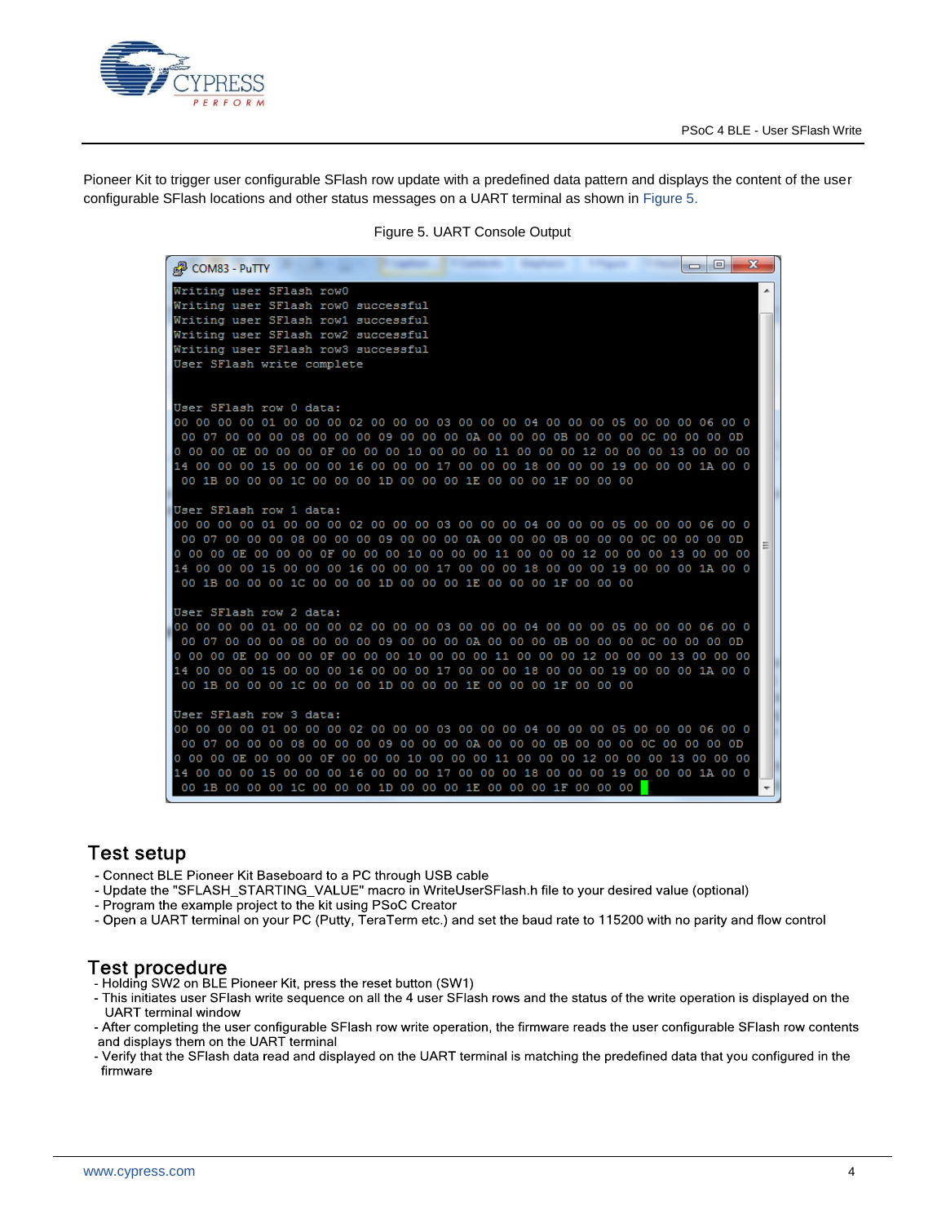

<span id="page-3-0"></span>Pioneer Kit to trigger user configurable SFlash row update with a predefined data pattern and displays the content of the user configurable SFlash locations and other status messages on a UART terminal as shown in [Figure 5.](#page-3-0)

Figure 5. UART Console Output



### **Test setup**

- Connect BLE Pioneer Kit Baseboard to a PC through USB cable
- Update the "SFLASH\_STARTING\_VALUE" macro in WriteUserSFlash.h file to your desired value (optional)
- Program the example project to the kit using PSoC Creator
- Open a UART terminal on your PC (Putty, TeraTerm etc.) and set the baud rate to 115200 with no parity and flow control

#### **Test procedure**

- Holding SW2 on BLE Pioneer Kit, press the reset button (SW1)
- This initiates user SFlash write sequence on all the 4 user SFlash rows and the status of the write operation is displayed on the **UART** terminal window
- After completing the user configurable SFlash row write operation, the firmware reads the user configurable SFlash row contents and displays them on the UART terminal
- Verify that the SFlash data read and displayed on the UART terminal is matching the predefined data that you configured in the firmware